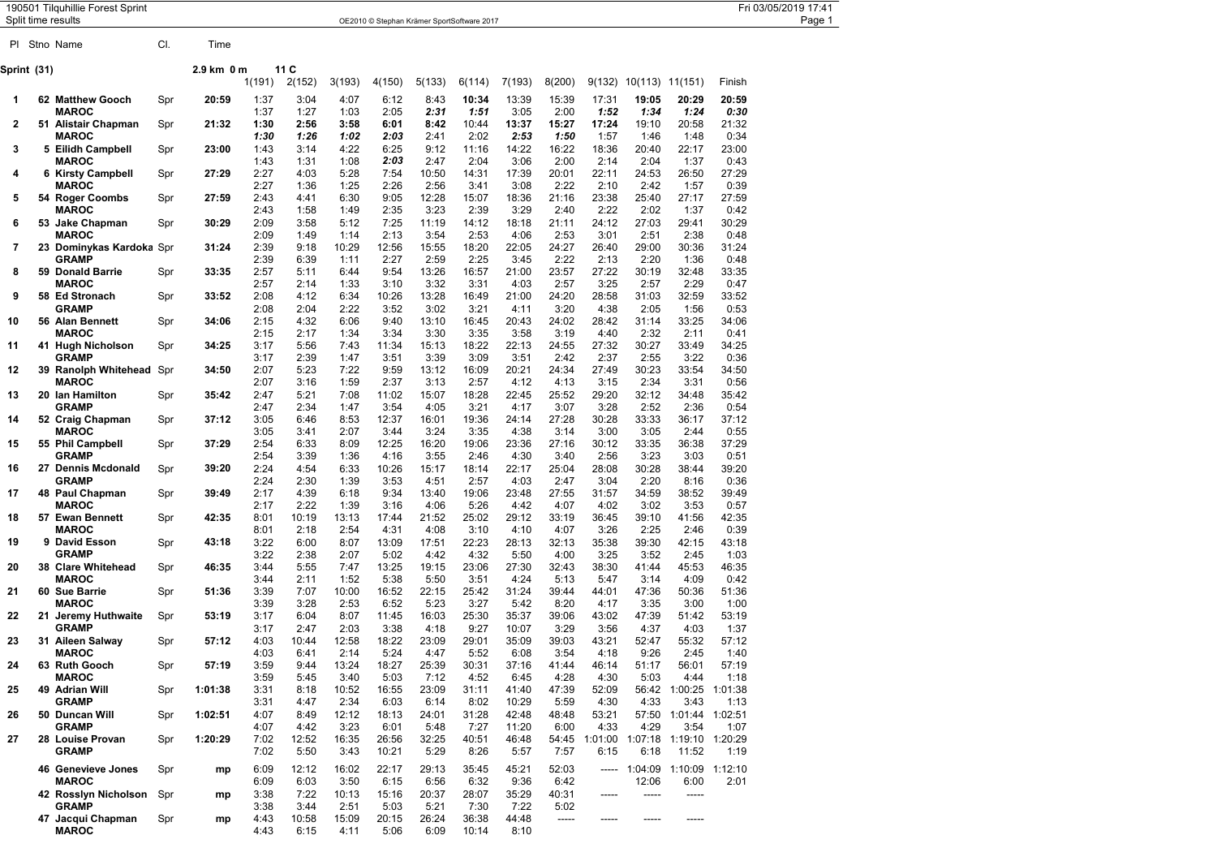|             | 190501 Tilquhillie Forest Sprint<br>Split time results |     |            |              |               |               |               | OE2010 © Stephan Krämer SportSoftware 2017 |               |                |               |                       |                 |                                 |               | Fri 03/05/2019 17:41<br>Page 1 |
|-------------|--------------------------------------------------------|-----|------------|--------------|---------------|---------------|---------------|--------------------------------------------|---------------|----------------|---------------|-----------------------|-----------------|---------------------------------|---------------|--------------------------------|
| PL          | Stno Name                                              | CI. | Time       |              |               |               |               |                                            |               |                |               |                       |                 |                                 |               |                                |
| Sprint (31) |                                                        |     | 2.9 km 0 m |              | 11 C          |               |               |                                            |               |                |               |                       |                 |                                 |               |                                |
|             |                                                        |     |            | 1(191)       | 2(152)        | 3(193)        | 4(150)        | 5(133)                                     | 6(114)        | 7(193)         | 8(200)        | 9(132)                | 10(113) 11(151) |                                 | Finish        |                                |
| 1           | 62 Matthew Gooch                                       | Spr | 20:59      | 1:37         | 3:04          | 4:07          | 6:12          | 8:43                                       | 10:34         | 13:39          | 15:39         | 17:31                 | 19:05           | 20:29                           | 20:59         |                                |
|             | <b>MAROC</b>                                           |     |            | 1:37         | 1:27          | 1:03          | 2:05          | 2:31                                       | 1:51          | 3:05           | 2:00          | 1:52                  | 1:34            | 1:24                            | 0:30          |                                |
| 2           | 51 Alistair Chapman<br><b>MAROC</b>                    | Spr | 21:32      | 1:30<br>1:30 | 2:56<br>1:26  | 3:58<br>1:02  | 6:01<br>2:03  | 8:42<br>2:41                               | 10:44<br>2:02 | 13:37<br>2:53  | 15:27<br>1:50 | 17:24<br>1:57         | 19:10<br>1:46   | 20:58<br>1:48                   | 21:32<br>0:34 |                                |
| 3           | 5 Eilidh Campbell                                      | Spr | 23:00      | 1:43         | 3:14          | 4:22          | 6:25          | 9:12                                       | 11:16         | 14:22          | 16:22         | 18:36                 | 20:40           | 22:17                           | 23:00         |                                |
|             | <b>MAROC</b>                                           |     |            | 1:43         | 1:31          | 1:08          | 2:03          | 2:47                                       | 2:04          | 3:06           | 2:00          | 2:14                  | 2:04            | 1:37                            | 0:43          |                                |
| 4           | 6 Kirsty Campbell                                      | Spr | 27:29      | 2:27         | 4:03          | 5:28          | 7:54          | 10:50                                      | 14:31         | 17:39          | 20:01         | 22:11                 | 24:53           | 26:50                           | 27:29         |                                |
| 5           | <b>MAROC</b><br>54 Roger Coombs                        | Spr | 27:59      | 2:27<br>2:43 | 1:36<br>4:41  | 1:25<br>6:30  | 2:26<br>9:05  | 2:56<br>12:28                              | 3:41<br>15:07 | 3:08<br>18:36  | 2:22<br>21:16 | 2:10<br>23:38         | 2:42<br>25:40   | 1:57<br>27:17                   | 0:39<br>27:59 |                                |
|             | <b>MAROC</b>                                           |     |            | 2:43         | 1:58          | 1:49          | 2:35          | 3:23                                       | 2:39          | 3:29           | 2:40          | 2:22                  | 2:02            | 1:37                            | 0:42          |                                |
| 6           | 53 Jake Chapman                                        | Spr | 30:29      | 2:09         | 3:58          | 5:12          | 7:25          | 11:19                                      | 14:12         | 18:18          | 21:11         | 24:12                 | 27:03           | 29:41                           | 30:29         |                                |
|             | <b>MAROC</b>                                           |     |            | 2:09         | 1:49          | 1:14          | 2:13          | 3:54                                       | 2:53          | 4:06           | 2:53          | 3:01                  | 2:51            | 2:38                            | 0:48          |                                |
| 7           | 23 Dominykas Kardoka Spr<br><b>GRAMP</b>               |     | 31:24      | 2:39<br>2:39 | 9:18<br>6:39  | 10:29<br>1:11 | 12:56<br>2:27 | 15:55<br>2:59                              | 18:20<br>2:25 | 22:05<br>3:45  | 24:27<br>2:22 | 26:40<br>2:13         | 29:00<br>2:20   | 30:36<br>1:36                   | 31:24<br>0:48 |                                |
| 8           | 59 Donald Barrie                                       | Spr | 33:35      | 2:57         | 5:11          | 6:44          | 9:54          | 13:26                                      | 16:57         | 21:00          | 23:57         | 27:22                 | 30:19           | 32:48                           | 33:35         |                                |
|             | <b>MAROC</b>                                           |     |            | 2:57         | 2:14          | 1:33          | 3:10          | 3:32                                       | 3:31          | 4:03           | 2:57          | 3:25                  | 2:57            | 2:29                            | 0:47          |                                |
| 9           | 58 Ed Stronach                                         | Spr | 33:52      | 2:08         | 4:12          | 6:34          | 10:26         | 13:28                                      | 16:49         | 21:00          | 24:20         | 28:58                 | 31:03           | 32:59                           | 33:52         |                                |
| 10          | <b>GRAMP</b><br>56 Alan Bennett                        | Spr | 34:06      | 2:08<br>2:15 | 2:04<br>4:32  | 2:22<br>6:06  | 3:52<br>9:40  | 3:02<br>13:10                              | 3:21<br>16:45 | 4:11<br>20:43  | 3:20<br>24:02 | 4:38<br>28:42         | 2:05<br>31:14   | 1:56<br>33:25                   | 0:53<br>34:06 |                                |
|             | <b>MAROC</b>                                           |     |            | 2:15         | 2:17          | 1:34          | 3:34          | 3:30                                       | 3:35          | 3:58           | 3:19          | 4:40                  | 2:32            | 2:11                            | 0:41          |                                |
| 11          | 41 Hugh Nicholson                                      | Spr | 34:25      | 3:17         | 5:56          | 7:43          | 11:34         | 15:13                                      | 18:22         | 22:13          | 24:55         | 27:32                 | 30:27           | 33:49                           | 34:25         |                                |
|             | <b>GRAMP</b>                                           |     |            | 3:17         | 2:39          | 1:47          | 3:51          | 3:39                                       | 3:09          | 3:51           | 2:42          | 2:37                  | 2:55            | 3:22                            | 0:36          |                                |
| 12          | <b>39 Ranolph Whitehead Spr</b><br><b>MAROC</b>        |     | 34:50      | 2:07<br>2:07 | 5:23<br>3:16  | 7:22<br>1:59  | 9:59<br>2:37  | 13:12<br>3:13                              | 16:09<br>2:57 | 20:21<br>4:12  | 24:34<br>4:13 | 27:49<br>3:15         | 30:23<br>2:34   | 33:54<br>3:31                   | 34:50<br>0:56 |                                |
| 13          | 20 Ian Hamilton                                        | Spr | 35:42      | 2:47         | 5:21          | 7:08          | 11:02         | 15:07                                      | 18:28         | 22:45          | 25:52         | 29:20                 | 32:12           | 34:48                           | 35:42         |                                |
|             | <b>GRAMP</b>                                           |     |            | 2:47         | 2:34          | 1:47          | 3:54          | 4:05                                       | 3:21          | 4:17           | 3:07          | 3:28                  | 2:52            | 2:36                            | 0:54          |                                |
| 14          | 52 Craig Chapman                                       | Spr | 37:12      | 3:05         | 6:46          | 8:53          | 12:37         | 16:01                                      | 19:36         | 24:14          | 27:28         | 30:28                 | 33:33           | 36:17                           | 37:12         |                                |
| 15          | MAROC<br>55 Phil Campbell                              | Spr | 37:29      | 3:05<br>2:54 | 3:41<br>6:33  | 2:07<br>8:09  | 3:44<br>12:25 | 3:24<br>16:20                              | 3:35<br>19:06 | 4:38<br>23:36  | 3:14<br>27:16 | 3:00<br>30:12         | 3:05<br>33:35   | 2:44<br>36:38                   | 0:55<br>37:29 |                                |
|             | <b>GRAMP</b>                                           |     |            | 2:54         | 3:39          | 1:36          | 4:16          | 3:55                                       | 2:46          | 4:30           | 3:40          | 2:56                  | 3:23            | 3:03                            | 0:51          |                                |
| 16          | 27 Dennis Mcdonald                                     | Spr | 39:20      | 2:24         | 4:54          | 6:33          | 10:26         | 15:17                                      | 18:14         | 22:17          | 25:04         | 28:08                 | 30:28           | 38:44                           | 39:20         |                                |
| 17          | <b>GRAMP</b><br>48 Paul Chapman                        | Spr | 39:49      | 2:24<br>2:17 | 2:30<br>4:39  | 1:39<br>6:18  | 3:53<br>9:34  | 4:51<br>13:40                              | 2:57<br>19:06 | 4:03<br>23:48  | 2:47<br>27:55 | 3:04<br>31:57         | 2:20<br>34:59   | 8:16<br>38:52                   | 0:36<br>39:49 |                                |
|             | <b>MAROC</b>                                           |     |            | 2:17         | 2:22          | 1:39          | 3:16          | 4:06                                       | 5:26          | 4:42           | 4:07          | 4:02                  | 3:02            | 3:53                            | 0:57          |                                |
| 18          | 57 Ewan Bennett                                        | Spr | 42:35      | 8:01         | 10:19         | 13:13         | 17:44         | 21:52                                      | 25:02         | 29:12          | 33:19         | 36:45                 | 39:10           | 41:56                           | 42:35         |                                |
|             | <b>MAROC</b>                                           |     |            | 8:01         | 2:18          | 2:54          | 4:31          | 4:08                                       | 3:10          | 4:10           | 4:07          | 3:26                  | 2:25            | 2:46                            | 0:39          |                                |
| 19          | 9 David Esson<br><b>GRAMP</b>                          | Spr | 43:18      | 3:22<br>3:22 | 6:00<br>2:38  | 8:07<br>2:07  | 13:09<br>5:02 | 17:51<br>4:42                              | 22:23<br>4:32 | 28:13<br>5:50  | 32:13<br>4:00 | 35:38<br>3:25         | 39:30<br>3:52   | 42:15<br>2:45                   | 43:18<br>1:03 |                                |
| 20          | 38 Clare Whitehead                                     | Spr | 46:35      | 3:44         | 5:55          | 7:47          | 13:25         | 19:15                                      | 23:06         | 27:30          | 32:43         | 38:30                 | 41:44           | 45:53                           | 46:35         |                                |
|             | <b>MAROC</b>                                           |     |            | 3:44         | 2:11          | 1:52          | 5:38          | 5:50                                       | 3:51          | 4:24           | 5:13          | 5:47                  | 3:14            | 4:09                            | 0:42          |                                |
| 21          | 60 Sue Barrie                                          | Spr | 51:36      | 3:39         | 7:07          | 10:00         | 16:52         | 22:15                                      | 25:42         | 31:24          | 39:44         | 44:01                 | 47:36           | 50:36                           | 51:36         |                                |
| 22          | <b>MAROC</b><br>21 Jeremy Huthwaite                    | Spr | 53:19      | 3:39<br>3:17 | 3:28<br>6:04  | 2:53<br>8:07  | 6:52<br>11:45 | 5:23<br>16:03                              | 3:27<br>25:30 | 5:42<br>35:37  | 8:20<br>39:06 | 4:17<br>43:02         | 3:35<br>47:39   | 3:00<br>51:42                   | 1:00<br>53:19 |                                |
|             | <b>GRAMP</b>                                           |     |            | 3:17         | 2:47          | 2:03          | 3:38          | 4:18                                       | 9:27          | 10:07          | 3:29          | 3:56                  | 4:37            | 4:03                            | 1:37          |                                |
| 23          | 31 Aileen Salwav                                       | Spr | 57:12      | 4:03         | 10:44         | 12:58         | 18:22         | 23:09                                      | 29:01         | 35:09          | 39:03         | 43:21                 | 52:47           | 55:32                           | 57:12         |                                |
|             | MAROC                                                  |     |            | 4:03         | 6:41          | 2:14          | 5:24          | 4:47                                       | 5:52          | 6:08           | 3:54          | 4:18                  | 9:26            | 2:45                            | 1:40          |                                |
| 24          | 63 Ruth Gooch<br><b>MAROC</b>                          | Spr | 57:19      | 3:59<br>3:59 | 9:44<br>5:45  | 13:24<br>3:40 | 18:27<br>5:03 | 25:39<br>7:12                              | 30:31<br>4:52 | 37:16<br>6:45  | 41:44<br>4:28 | 46:14<br>4:30         | 51:17<br>5:03   | 56:01<br>4:44                   | 57:19<br>1:18 |                                |
| 25          | 49 Adrian Will                                         | Spr | 1:01:38    | 3:31         | 8:18          | 10:52         | 16:55         | 23:09                                      | 31:11         | 41:40          | 47:39         | 52:09                 |                 | 56:42 1:00:25 1:01:38           |               |                                |
|             | <b>GRAMP</b>                                           |     |            | 3:31         | 4:47          | 2:34          | 6:03          | 6:14                                       | 8:02          | 10:29          | 5:59          | 4:30                  | 4:33            | 3:43                            | 1:13          |                                |
| 26          | 50 Duncan Will                                         | Spr | 1:02:51    | 4:07         | 8:49          | 12:12         | 18:13         | 24:01                                      | 31:28         | 42:48          | 48:48         | 53:21                 |                 | 57:50 1:01:44 1:02:51           |               |                                |
| 27          | <b>GRAMP</b><br>28 Louise Provan                       | Spr | 1:20:29    | 4:07<br>7:02 | 4:42<br>12:52 | 3:23<br>16:35 | 6:01<br>26:56 | 5:48<br>32:25                              | 7:27<br>40:51 | 11:20<br>46:48 | 6:00          | 4:33<br>54:45 1:01:00 | 4:29            | 3:54<br>1:07:18 1:19:10 1:20:29 | 1:07          |                                |
|             | <b>GRAMP</b>                                           |     |            | 7:02         | 5:50          | 3:43          | 10:21         | 5:29                                       | 8:26          | 5:57           | 7:57          | 6:15                  | 6:18            | 11:52                           | 1:19          |                                |
|             | 46 Genevieve Jones                                     | Spr | mp         | 6:09         | 12:12         | 16:02         | 22:17         | 29:13                                      | 35:45         | 45:21          | 52:03         |                       |                 | ----- 1:04:09 1:10:09 1:12:10   |               |                                |
|             | <b>MAROC</b>                                           |     |            | 6:09         | 6:03          | 3:50          | 6:15          | 6:56                                       | 6:32          | 9:36           | 6:42          |                       | 12:06           | 6:00                            | 2:01          |                                |
|             | 42 Rosslyn Nicholson Spr                               |     | mp         | 3:38         | 7:22          | 10:13         | 15:16         | 20:37                                      | 28:07         | 35:29          | 40:31         | -----                 | -----           | -----                           |               |                                |
|             | <b>GRAMP</b><br>47 Jacqui Chapman                      | Spr | mp         | 3:38<br>4:43 | 3:44<br>10:58 | 2:51<br>15:09 | 5:03<br>20:15 | 5:21<br>26:24                              | 7:30<br>36:38 | 7:22<br>44:48  | 5:02<br>----- | -----                 |                 | -----                           |               |                                |
|             | <b>MAROC</b>                                           |     |            | 4:43         | 6:15          | 4:11          | 5:06          | 6:09                                       | 10:14         | 8:10           |               |                       |                 |                                 |               |                                |